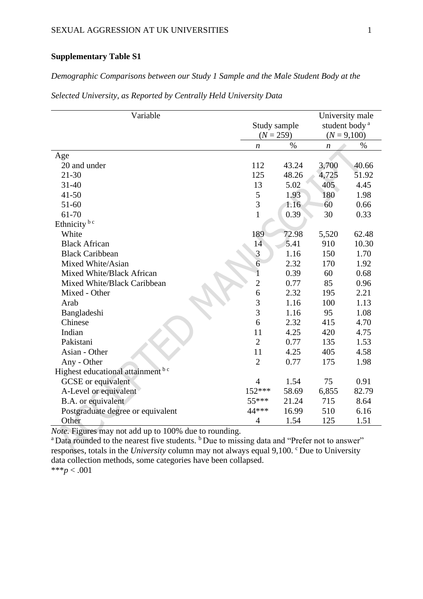## **Supplementary Table S1**

## *Demographic Comparisons between our Study 1 Sample and the Male Student Body at the*

| Variable                          |                  |             |                                              |               |
|-----------------------------------|------------------|-------------|----------------------------------------------|---------------|
|                                   | Study sample     |             | University male<br>student body <sup>a</sup> |               |
|                                   |                  | $(N = 259)$ |                                              | $(N = 9,100)$ |
|                                   | $\boldsymbol{n}$ | $\%$        | $\boldsymbol{n}$                             | $\%$          |
| Age                               |                  |             |                                              |               |
| 20 and under                      | 112              | 43.24       | 3,700                                        | 40.66         |
| $21 - 30$                         | 125              | 48.26       | 4,725                                        | 51.92         |
| $31 - 40$                         | 13               | 5.02        | 405                                          | 4.45          |
| $41 - 50$                         | 5                | 1.93        | 180                                          | 1.98          |
| 51-60                             | 3                | 1.16        | 60                                           | 0.66          |
| 61-70                             | $\mathbf{1}$     | 0.39        | 30                                           | 0.33          |
| Ethnicity <sup>bc</sup>           |                  |             |                                              |               |
| White                             | 189              | 72.98       | 5,520                                        | 62.48         |
| <b>Black African</b>              | 14               | 5.41        | 910                                          | 10.30         |
| <b>Black Caribbean</b>            | 3                | 1.16        | 150                                          | 1.70          |
| Mixed White/Asian                 | $\overline{6}$   | 2.32        | 170                                          | 1.92          |
| Mixed White/Black African         | 1                | 0.39        | 60                                           | 0.68          |
| Mixed White/Black Caribbean       | $\overline{c}$   | 0.77        | 85                                           | 0.96          |
| Mixed - Other                     | 6                | 2.32        | 195                                          | 2.21          |
| Arab                              | $\overline{3}$   | 1.16        | 100                                          | 1.13          |
| Bangladeshi                       | 3                | 1.16        | 95                                           | 1.08          |
| Chinese                           | 6                | 2.32        | 415                                          | 4.70          |
| Indian                            | 11               | 4.25        | 420                                          | 4.75          |
| Pakistani                         | $\overline{2}$   | 0.77        | 135                                          | 1.53          |
| Asian - Other                     | 11               | 4.25        | 405                                          | 4.58          |
| Any - Other                       | $\overline{2}$   | 0.77        | 175                                          | 1.98          |
| Highest educational attainment bc |                  |             |                                              |               |
| <b>GCSE</b> or equivalent         | $\overline{4}$   | 1.54        | 75                                           | 0.91          |
| A-Level or equivalent             | 152***           | 58.69       | 6,855                                        | 82.79         |
| B.A. or equivalent                | 55***            | 21.24       | 715                                          | 8.64          |
| Postgraduate degree or equivalent | 44 ***           | 16.99       | 510                                          | 6.16          |
| Other                             | $\overline{4}$   | 1.54        | 125                                          | 1.51          |

*Selected University, as Reported by Centrally Held University Data*

*Note.* Figures may not add up to 100% due to rounding.

<sup>a</sup>Data rounded to the nearest five students. <sup>b</sup>Due to missing data and "Prefer not to answer" responses, totals in the *University* column may not always equal 9,100. <sup>c</sup>Due to University data collection methods, some categories have been collapsed. \*\*\**p* < .001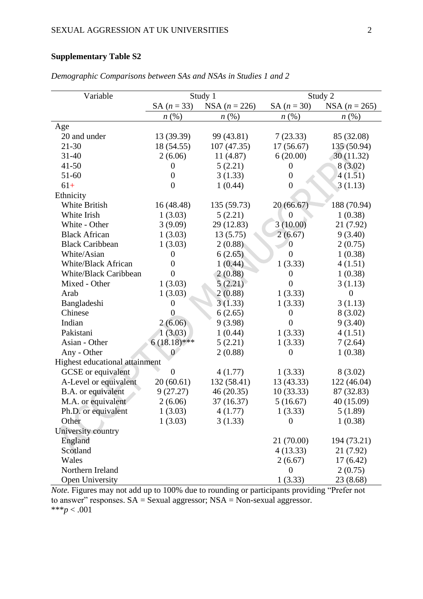## **Supplementary Table S2**

| Variable                       | Study 1            |                    | Study 2            |                    |  |
|--------------------------------|--------------------|--------------------|--------------------|--------------------|--|
|                                | $SA (n = 33)$      | NSA $(n = 226)$    | SA $(n = 30)$      | NSA $(n = 265)$    |  |
|                                | $n\left(\%\right)$ | $n\left(\%\right)$ | $n\left(\%\right)$ | $n\left(\%\right)$ |  |
| Age                            |                    |                    |                    |                    |  |
| 20 and under                   | 13 (39.39)         | 99 (43.81)         | 7(23.33)           | 85 (32.08)         |  |
| 21-30                          | 18 (54.55)         | 107(47.35)         | 17(56.67)          | 135 (50.94)        |  |
| $31 - 40$                      | 2(6.06)            | 11 (4.87)          | 6(20.00)           | 30(11.32)          |  |
| $41 - 50$                      | 0                  | 5(2.21)            | $\theta$           | 8(3.02)            |  |
| 51-60                          | $\overline{0}$     | 3(1.33)            | $\theta$           | 4(1.51)            |  |
| $61+$                          | $\overline{0}$     | 1(0.44)            | $\theta$           | 3(1.13)            |  |
| Ethnicity                      |                    |                    |                    |                    |  |
| White British                  | 16(48.48)          | 135 (59.73)        | 20(66.67)          | 188 (70.94)        |  |
| White Irish                    | 1(3.03)            | 5(2.21)            | $\overline{0}$     | 1(0.38)            |  |
| White - Other                  | 3(9.09)            | 29 (12.83)         | 3(10.00)           | 21 (7.92)          |  |
| <b>Black African</b>           | 1(3.03)            | 13(5.75)           | 2(6.67)            | 9(3.40)            |  |
| <b>Black Caribbean</b>         | 1(3.03)            | 2(0.88)            | $\overline{0}$     | 2(0.75)            |  |
| White/Asian                    | $\overline{0}$     | 6(2.65)            | $\theta$           | 1(0.38)            |  |
| <b>White/Black African</b>     | 0                  | 1(0.44)            | 1(3.33)            | 4(1.51)            |  |
| White/Black Caribbean          | $\overline{0}$     | 2(0.88)            | $\overline{0}$     | 1(0.38)            |  |
| Mixed - Other                  | 1(3.03)            | 5(2.21)            | $\overline{0}$     | 3(1.13)            |  |
| Arab                           | 1(3.03)            | 2(0.88)            | 1(3.33)            | $\overline{0}$     |  |
| Bangladeshi                    | $\theta$           | 3(1.33)            | 1(3.33)            | 3(1.13)            |  |
| Chinese                        | $\overline{0}$     | 6(2.65)            | $\theta$           | 8(3.02)            |  |
| Indian                         | 2(6.06)            | 9(3.98)            | $\overline{0}$     | 9(3.40)            |  |
| Pakistani                      | 1(3.03)            | 1(0.44)            | 1(3.33)            | 4(1.51)            |  |
| Asian - Other                  | $6(18.18)$ ***     | 5(2.21)            | 1(3.33)            | 7(2.64)            |  |
| Any - Other                    | $\theta$           | 2(0.88)            | $\overline{0}$     | 1(0.38)            |  |
| Highest educational attainment |                    |                    |                    |                    |  |
| GCSE or equivalent             | $\overline{0}$     | 4(1.77)            | 1(3.33)            | 8(3.02)            |  |
| A-Level or equivalent          | 20(60.61)          | 132 (58.41)        | 13 (43.33)         | 122 (46.04)        |  |
| B.A. or equivalent             | 9(27.27)           | 46 (20.35)         | 10(33.33)          | 87 (32.83)         |  |
| M.A. or equivalent             | 2(6.06)            | 37 (16.37)         | 5(16.67)           | 40 (15.09)         |  |
| Ph.D. or equivalent            | 1(3.03)            | 4(1.77)            | 1(3.33)            | 5(1.89)            |  |
| Other                          | 1(3.03)            | 3(1.33)            | $\theta$           | 1(0.38)            |  |
| University country             |                    |                    |                    |                    |  |
| England                        |                    |                    | 21 (70.00)         | 194 (73.21)        |  |
| Scotland                       |                    |                    | 4(13.33)           | 21 (7.92)          |  |
| Wales                          |                    |                    | 2(6.67)            | 17(6.42)           |  |
| Northern Ireland               |                    |                    | $\mathbf{0}$       | 2(0.75)            |  |
| Open University                |                    |                    | 1(3.33)            | 23 (8.68)          |  |

*Demographic Comparisons between SAs and NSAs in Studies 1 and 2*

*Note.* Figures may not add up to 100% due to rounding or participants providing "Prefer not to answer" responses.  $SA =$ Sexual aggressor; NSA = Non-sexual aggressor. \*\*\* $p < .001$